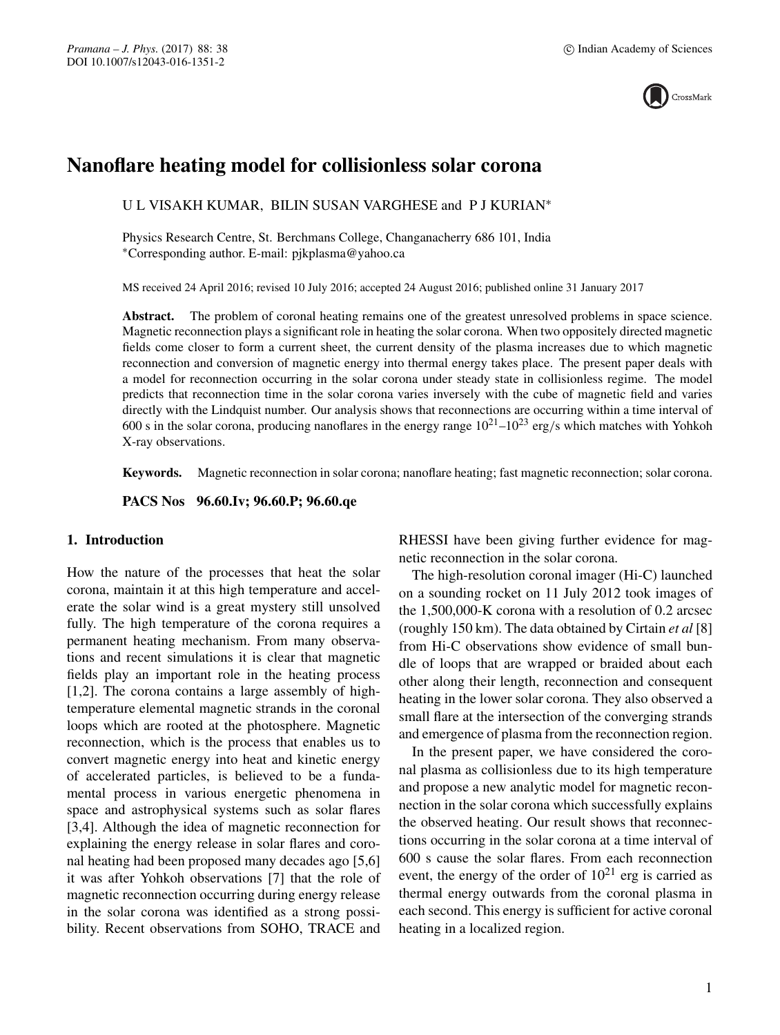

# **Nanoflare heating model for collisionless solar corona**

U L VISAKH KUMAR, BILIN SUSAN VARGHESE and P J KURIAN∗

Physics Research Centre, St. Berchmans College, Changanacherry 686 101, India ∗Corresponding author. E-mail: pjkplasma@yahoo.ca

MS received 24 April 2016; revised 10 July 2016; accepted 24 August 2016; published online 31 January 2017

Abstract. The problem of coronal heating remains one of the greatest unresolved problems in space science. Magnetic reconnection plays a significant role in heating the solar corona. When two oppositely directed magnetic fields come closer to form a current sheet, the current density of the plasma increases due to which magnetic reconnection and conversion of magnetic energy into thermal energy takes place. The present paper deals with a model for reconnection occurring in the solar corona under steady state in collisionless regime. The model predicts that reconnection time in the solar corona varies inversely with the cube of magnetic field and varies directly with the Lindquist number. Our analysis shows that reconnections are occurring within a time interval of 600 s in the solar corona, producing nanoflares in the energy range  $10^{21}$ – $10^{23}$  erg/s which matches with Yohkoh X-ray observations.

**Keywords.** Magnetic reconnection in solar corona; nanoflare heating; fast magnetic reconnection; solar corona.

**PACS Nos 96.60.Iv; 96.60.P; 96.60.qe**

## **1. Introduction**

How the nature of the processes that heat the solar corona, maintain it at this high temperature and accelerate the solar wind is a great mystery still unsolved fully. The high temperature of the corona requires a permanent heating mechanism. From many observations and recent simulations it is clear that magnetic fields play an important role in the heating process [1,2]. The corona contains a large assembly of hightemperature elemental magnetic strands in the coronal loops which are rooted at the photosphere. Magnetic reconnection, which is the process that enables us to convert magnetic energy into heat and kinetic energy of accelerated particles, is believed to be a fundamental process in various energetic phenomena in space and astrophysical systems such as solar flares [3,4]. Although the idea of magnetic reconnection for explaining the energy release in solar flares and coronal heating had been proposed many decades ago [5,6] it was after Yohkoh observations [7] that the role of magnetic reconnection occurring during energy release in the solar corona was identified as a strong possibility. Recent observations from SOHO, TRACE and RHESSI have been giving further evidence for magnetic reconnection in the solar corona.

The high-resolution coronal imager (Hi-C) launched on a sounding rocket on 11 July 2012 took images of the 1,500,000-K corona with a resolution of 0.2 arcsec (roughly 150 km). The data obtained by Cirtain *et al* [8] from Hi-C observations show evidence of small bundle of loops that are wrapped or braided about each other along their length, reconnection and consequent heating in the lower solar corona. They also observed a small flare at the intersection of the converging strands and emergence of plasma from the reconnection region.

In the present paper, we have considered the coronal plasma as collisionless due to its high temperature and propose a new analytic model for magnetic reconnection in the solar corona which successfully explains the observed heating. Our result shows that reconnections occurring in the solar corona at a time interval of 600 s cause the solar flares. From each reconnection event, the energy of the order of  $10^{21}$  erg is carried as thermal energy outwards from the coronal plasma in each second. This energy is sufficient for active coronal heating in a localized region.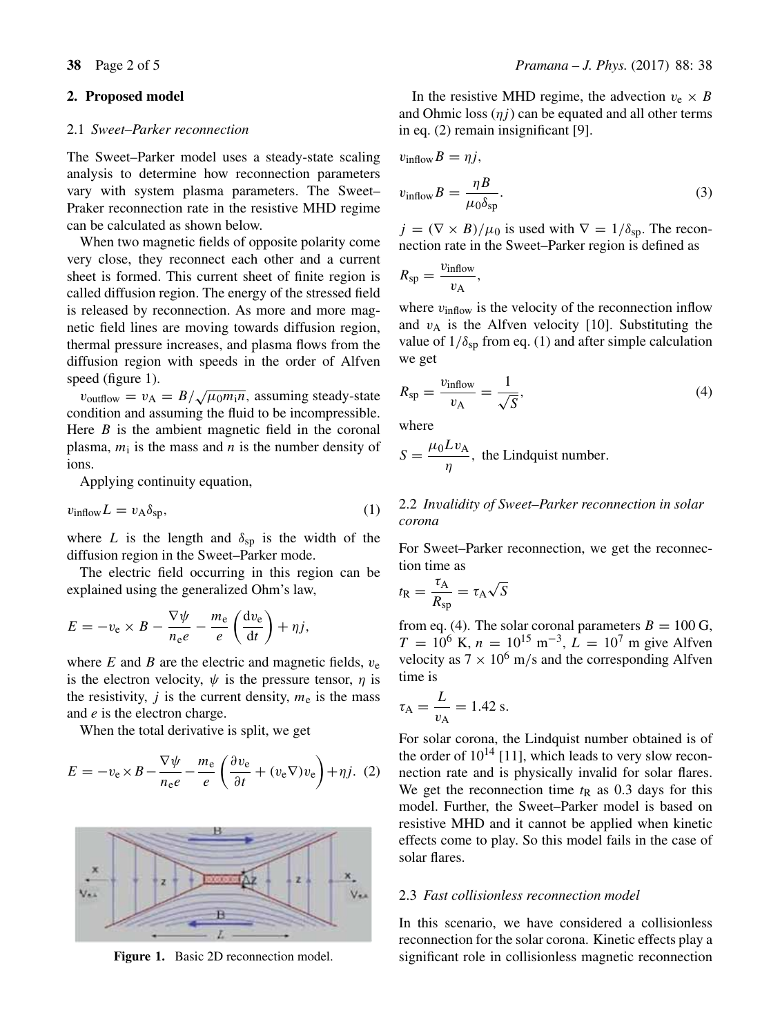## **2. Proposed model**

#### 2.1 *Sweet–Parker reconnection*

The Sweet–Parker model uses a steady-state scaling analysis to determine how reconnection parameters vary with system plasma parameters. The Sweet– Praker reconnection rate in the resistive MHD regime can be calculated as shown below.

When two magnetic fields of opposite polarity come very close, they reconnect each other and a current sheet is formed. This current sheet of finite region is called diffusion region. The energy of the stressed field is released by reconnection. As more and more magnetic field lines are moving towards diffusion region, thermal pressure increases, and plasma flows from the diffusion region with speeds in the order of Alfven speed (figure 1).

 $v_{\text{outflow}} = v_A = B/\sqrt{\mu_0 m_i n}$ , assuming steady-state condition and assuming the fluid to be incompressible. Here  $B$  is the ambient magnetic field in the coronal plasma,  $m_i$  is the mass and n is the number density of ions.

Applying continuity equation,

$$
v_{\text{inflow}} L = v_{\text{A}} \delta_{\text{sp}},\tag{1}
$$

where L is the length and  $\delta_{\rm sp}$  is the width of the diffusion region in the Sweet–Parker mode.

The electric field occurring in this region can be explained using the generalized Ohm's law,

$$
E = -v_{\rm e} \times B - \frac{\nabla \psi}{n_{\rm e}e} - \frac{m_{\rm e}}{e} \left( \frac{\mathrm{d}v_{\rm e}}{\mathrm{d}t} \right) + \eta j,
$$

where  $E$  and  $B$  are the electric and magnetic fields,  $v_e$ is the electron velocity,  $\psi$  is the pressure tensor,  $\eta$  is the resistivity, j is the current density,  $m_e$  is the mass and e is the electron charge.

When the total derivative is split, we get

$$
E = -v_{\rm e} \times B - \frac{\nabla \psi}{n_{\rm e}e} - \frac{m_{\rm e}}{e} \left( \frac{\partial v_{\rm e}}{\partial t} + (v_{\rm e} \nabla) v_{\rm e} \right) + \eta j. (2)
$$



**Figure 1.** Basic 2D reconnection model.

In the resistive MHD regime, the advection  $v_e \times B$ and Ohmic loss  $(\eta i)$  can be equated and all other terms in eq. (2) remain insignificant [9].

$$
v_{\text{inflow}}B = \eta j,
$$
  

$$
v_{\text{inflow}}B = \frac{\eta B}{\mu_0 \delta_{\text{sp}}}. \tag{3}
$$

 $j = (\nabla \times B)/\mu_0$  is used with  $\nabla = 1/\delta_{\rm SD}$ . The reconnection rate in the Sweet–Parker region is defined as

$$
R_{\rm sp} = \frac{v_{\rm inflow}}{v_{\rm A}},
$$

where  $v_{\text{inflow}}$  is the velocity of the reconnection inflow and  $v_A$  is the Alfven velocity [10]. Substituting the value of  $1/\delta_{sp}$  from eq. (1) and after simple calculation we get

$$
R_{\rm sp} = \frac{v_{\rm inflow}}{v_{\rm A}} = \frac{1}{\sqrt{S}},\tag{4}
$$

where

$$
S = \frac{\mu_0 L v_A}{\eta}
$$
, the Lindquist number.

## 2.2 *In*v*alidity of Sweet–Parker reconnection in solar corona*

For Sweet–Parker reconnection, we get the reconnection time as

$$
t_{\rm R} = \frac{\tau_{\rm A}}{R_{\rm sp}} = \tau_{\rm A}\sqrt{S}
$$

from eq. (4). The solar coronal parameters  $B = 100$  G,  $T = 10^6$  K,  $n = 10^{15}$  m<sup>-3</sup>,  $\vec{L} = 10^7$  m give Alfven velocity as  $7 \times 10^6$  m/s and the corresponding Alfven time is

$$
\tau_{\rm A} = \frac{L}{v_{\rm A}} = 1.42 \text{ s}.
$$

For solar corona, the Lindquist number obtained is of the order of  $10^{14}$  [11], which leads to very slow reconnection rate and is physically invalid for solar flares. We get the reconnection time  $t<sub>R</sub>$  as 0.3 days for this model. Further, the Sweet–Parker model is based on resistive MHD and it cannot be applied when kinetic effects come to play. So this model fails in the case of solar flares.

## 2.3 *Fast collisionless reconnection model*

In this scenario, we have considered a collisionless reconnection for the solar corona. Kinetic effects play a significant role in collisionless magnetic reconnection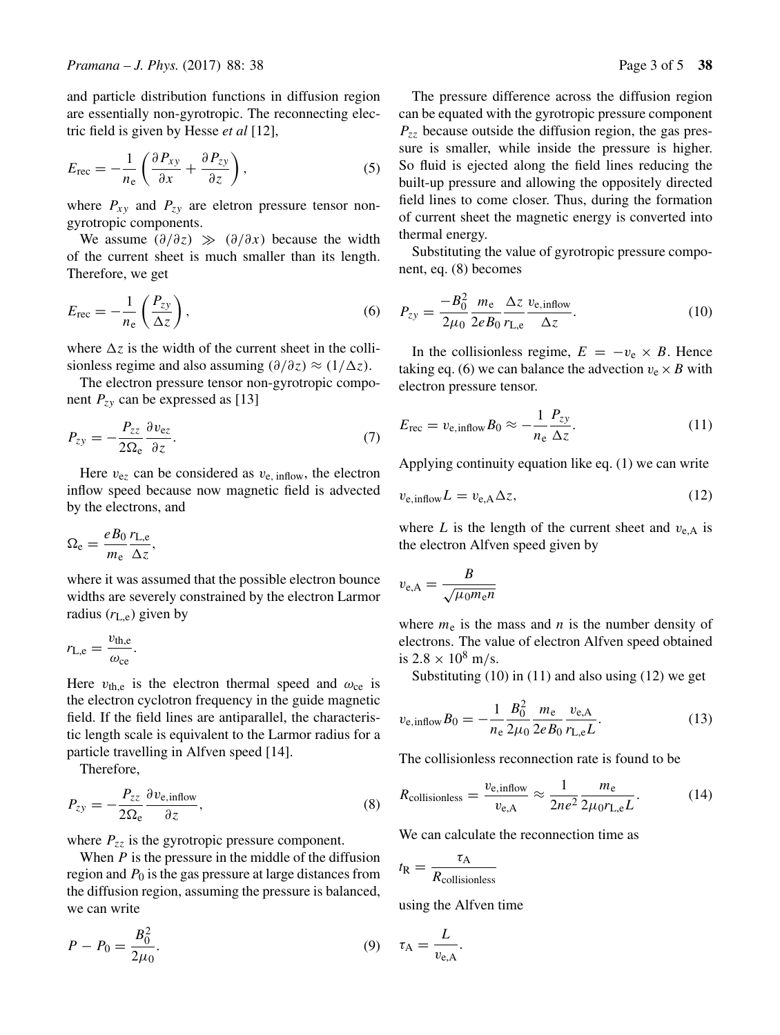and particle distribution functions in diffusion region are essentially non-gyrotropic. The reconnecting electric field is given by Hesse *et al* [12],

$$
E_{\rm rec} = -\frac{1}{n_{\rm e}} \left( \frac{\partial P_{xy}}{\partial x} + \frac{\partial P_{zy}}{\partial z} \right),\tag{5}
$$

where  $P_{xy}$  and  $P_{zy}$  are eletron pressure tensor nongyrotropic components.

We assume  $(\partial/\partial z) \gg (\partial/\partial x)$  because the width of the current sheet is much smaller than its length. Therefore, we get

$$
E_{\rm rec} = -\frac{1}{n_{\rm e}} \left( \frac{P_{zy}}{\Delta z} \right),\tag{6}
$$

where  $\Delta z$  is the width of the current sheet in the collisionless regime and also assuming  $\left(\frac{\partial}{\partial z}\right) \approx \left(\frac{1}{\Delta z}\right)$ .

The electron pressure tensor non-gyrotropic component  $P_{zy}$  can be expressed as [13]

$$
P_{zy} = -\frac{P_{zz}}{2\Omega_e} \frac{\partial v_{ez}}{\partial z}.
$$
 (7)

Here  $v_{ez}$  can be considered as  $v_{e, \text{ inflow}}$ , the electron inflow speed because now magnetic field is advected by the electrons, and

$$
\Omega_{\rm e} = \frac{e B_0}{m_{\rm e}} \frac{r_{\rm L,e}}{\Delta z},
$$

where it was assumed that the possible electron bounce widths are severely constrained by the electron Larmor radius  $(r_{\text{L,e}})$  given by

$$
r_{\rm L,e} = \frac{v_{\rm th,e}}{\omega_{\rm ce}}.
$$

Here  $v_{\text{th,e}}$  is the electron thermal speed and  $\omega_{\text{ce}}$  is the electron cyclotron frequency in the guide magnetic field. If the field lines are antiparallel, the characteristic length scale is equivalent to the Larmor radius for a particle travelling in Alfven speed [14].

Therefore,

$$
P_{zy} = -\frac{P_{zz}}{2\Omega_e} \frac{\partial v_{e,\text{inflow}}}{\partial z},\tag{8}
$$

where  $P_{zz}$  is the gyrotropic pressure component.

When  $P$  is the pressure in the middle of the diffusion region and  $P_0$  is the gas pressure at large distances from the diffusion region, assuming the pressure is balanced, we can write

$$
P - P_0 = \frac{B_0^2}{2\mu_0}.\tag{9}
$$

The pressure difference across the diffusion region can be equated with the gyrotropic pressure component  $P_{zz}$  because outside the diffusion region, the gas pressure is smaller, while inside the pressure is higher. So fluid is ejected along the field lines reducing the built-up pressure and allowing the oppositely directed field lines to come closer. Thus, during the formation of current sheet the magnetic energy is converted into thermal energy.

Substituting the value of gyrotropic pressure component, eq. (8) becomes

$$
P_{zy} = \frac{-B_0^2}{2\mu_0} \frac{m_e}{2eB_0} \frac{\Delta z}{r_{L,e}} \frac{v_{e,\text{inflow}}}{\Delta z}.
$$
 (10)

In the collisionless regime,  $E = -v_e \times B$ . Hence taking eq. (6) we can balance the advection  $v_e \times B$  with electron pressure tensor.

$$
E_{\rm rec} = v_{\rm e, inflow} B_0 \approx -\frac{1}{n_{\rm e}} \frac{P_{zy}}{\Delta z}.
$$
 (11)

Applying continuity equation like eq. (1) we can write

$$
v_{\rm e, inflow}L = v_{\rm e,A} \Delta z,\tag{12}
$$

where L is the length of the current sheet and  $v_{e,A}$  is the electron Alfven speed given by

$$
v_{\rm e,A} = \frac{B}{\sqrt{\mu_0 m_{\rm e} n}}
$$

where  $m_e$  is the mass and n is the number density of electrons. The value of electron Alfven speed obtained is  $2.8 \times 10^8$  m/s.

Substituting (10) in (11) and also using (12) we get

$$
v_{\rm e, inflow}B_0 = -\frac{1}{n_{\rm e}}\frac{B_0^2}{2\mu_0}\frac{m_{\rm e}}{2eB_0}\frac{v_{\rm e,A}}{r_{\rm L,e}L}.\tag{13}
$$

The collisionless reconnection rate is found to be

$$
R_{\text{collisions}} = \frac{v_{\text{e,inflow}}}{v_{\text{e,A}}} \approx \frac{1}{2ne^2} \frac{m_{\text{e}}}{2\mu_0 r_{\text{L,e}} L}.
$$
 (14)

We can calculate the reconnection time as

$$
t_{\rm R} = \frac{\tau_{\rm A}}{R_{\rm collisionless}}
$$

using the Alfven time

$$
\tau_{\rm A} = \frac{L}{v_{\rm e, A}}.
$$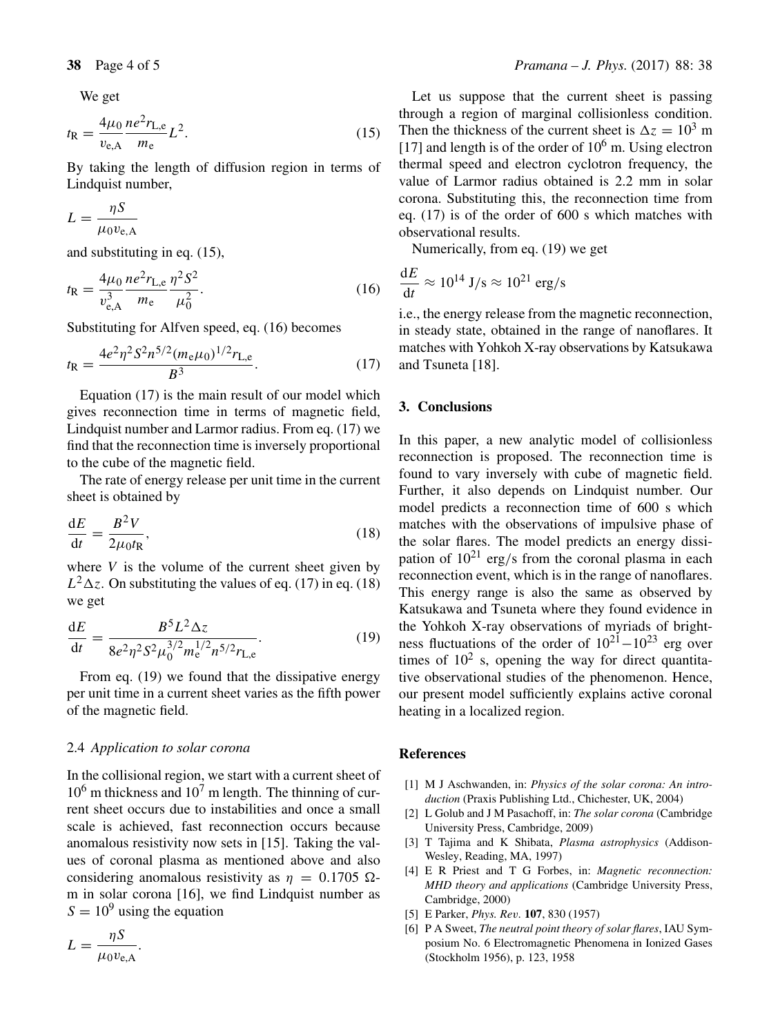We get

$$
t_{\rm R} = \frac{4\mu_0}{v_{\rm e,A}} \frac{ne^2 r_{\rm L,e}}{m_{\rm e}} L^2.
$$
 (15)

By taking the length of diffusion region in terms of Lindquist number,

$$
L = \frac{\eta S}{\mu_0 v_{\rm e,A}}
$$

and substituting in eq. (15),

$$
t_{\rm R} = \frac{4\mu_0}{v_{\rm e,A}^3} \frac{ne^2 r_{\rm L,e}}{m_{\rm e}} \frac{\eta^2 S^2}{\mu_0^2}.
$$
 (16)

Substituting for Alfven speed, eq. (16) becomes

$$
t_{\rm R} = \frac{4e^2\eta^2 S^2 n^{5/2} (m_{\rm e}\mu_0)^{1/2} r_{\rm L,e}}{B^3}.
$$
 (17)

Equation (17) is the main result of our model which gives reconnection time in terms of magnetic field, Lindquist number and Larmor radius. From eq. (17) we find that the reconnection time is inversely proportional to the cube of the magnetic field.

The rate of energy release per unit time in the current sheet is obtained by

$$
\frac{\mathrm{d}E}{\mathrm{d}t} = \frac{B^2 V}{2\mu_0 t_\mathrm{R}},\tag{18}
$$

where  $V$  is the volume of the current sheet given by  $L^2\Delta z$ . On substituting the values of eq. (17) in eq. (18) we get

$$
\frac{dE}{dt} = \frac{B^5 L^2 \Delta z}{8e^2 \eta^2 S^2 \mu_0^{3/2} m_e^{1/2} n^{5/2} r_{L,e}}.
$$
(19)

From eq. (19) we found that the dissipative energy per unit time in a current sheet varies as the fifth power of the magnetic field.

## 2.4 *Application to solar corona*

In the collisional region, we start with a current sheet of  $10^6$  m thickness and  $10^7$  m length. The thinning of current sheet occurs due to instabilities and once a small scale is achieved, fast reconnection occurs because anomalous resistivity now sets in [15]. Taking the values of coronal plasma as mentioned above and also considering anomalous resistivity as  $\eta = 0.1705 \Omega$ m in solar corona [16], we find Lindquist number as  $S = 10<sup>9</sup>$  using the equation

$$
L = \frac{\eta S}{\mu_0 v_{\rm e,A}}.
$$

Let us suppose that the current sheet is passing through a region of marginal collisionless condition. Then the thickness of the current sheet is  $\Delta z = 10^3$  m [17] and length is of the order of  $10^6$  m. Using electron thermal speed and electron cyclotron frequency, the value of Larmor radius obtained is 2.2 mm in solar corona. Substituting this, the reconnection time from eq. (17) is of the order of 600 s which matches with observational results.

Numerically, from eq. (19) we get

$$
\frac{\mathrm{d}E}{\mathrm{d}t} \approx 10^{14} \mathrm{J/s} \approx 10^{21} \mathrm{erg/s}
$$

i.e., the energy release from the magnetic reconnection, in steady state, obtained in the range of nanoflares. It matches with Yohkoh X-ray observations by Katsukawa and Tsuneta [18].

## **3. Conclusions**

In this paper, a new analytic model of collisionless reconnection is proposed. The reconnection time is found to vary inversely with cube of magnetic field. Further, it also depends on Lindquist number. Our model predicts a reconnection time of 600 s which matches with the observations of impulsive phase of the solar flares. The model predicts an energy dissipation of  $10^{21}$  erg/s from the coronal plasma in each reconnection event, which is in the range of nanoflares. This energy range is also the same as observed by Katsukawa and Tsuneta where they found evidence in the Yohkoh X-ray observations of myriads of brightness fluctuations of the order of  $10^{21} - 10^{23}$  erg over times of  $10^2$  s, opening the way for direct quantitative observational studies of the phenomenon. Hence, our present model sufficiently explains active coronal heating in a localized region.

## **References**

- [1] M J Aschwanden, in: *Physics of the solar corona: An introduction* (Praxis Publishing Ltd., Chichester, UK, 2004)
- [2] L Golub and J M Pasachoff, in: *The solar corona* (Cambridge University Press, Cambridge, 2009)
- [3] T Tajima and K Shibata, *Plasma astrophysics* (Addison-Wesley, Reading, MA, 1997)
- [4] E R Priest and T G Forbes, in: *Magnetic reconnection: MHD theory and applications* (Cambridge University Press, Cambridge, 2000)
- [5] E Parker, *Phys. Re*v*.* **107**, 830 (1957)
- [6] P A Sweet, *The neutral point theory of solar flares*, IAU Symposium No. 6 Electromagnetic Phenomena in Ionized Gases (Stockholm 1956), p. 123, 1958